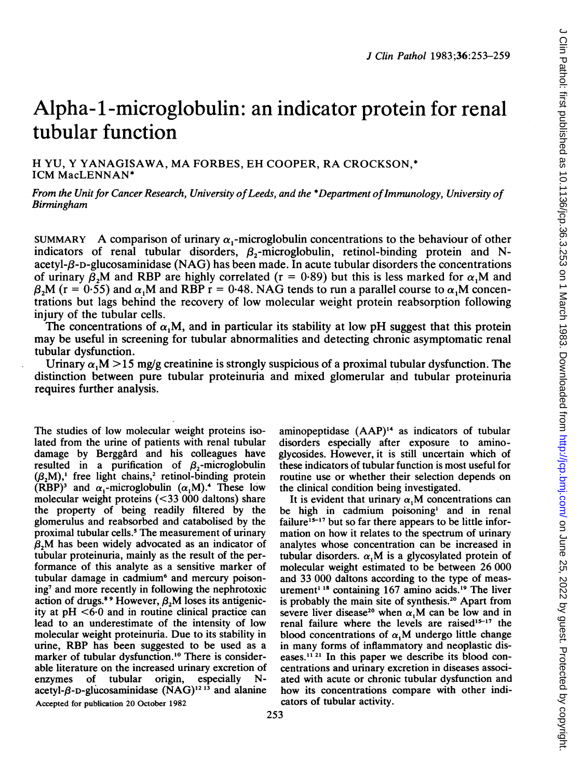# Alpha-1-microglobulin: an indicator protein for renal tubular function

H YU, Y YANAGISAWA, MA FORBES, EH COOPER, RA CROCKSON,\* ICM MacLENNAN\*

From the Unit for Cancer Research, University of Leeds, and the \*Department of Immunology, University of Birmingham

SUMMARY A comparison of urinary  $\alpha_1$ -microglobulin concentrations to the behaviour of other indicators of renal tubular disorders,  $\beta_2$ -microglobulin, retinol-binding protein and Nacetyl- $\beta$ -D-glucosaminidase (NAG) has been made. In acute tubular disorders the concentrations of urinary  $\beta_{2}M$  and RBP are highly correlated (r = 0.89) but this is less marked for  $\alpha_{1}M$  and  $\beta_2$ M (r = 0.55) and  $\alpha_1$ M and RBP r = 0.48. NAG tends to run a parallel course to  $\alpha_1$ M concentrations but lags behind the recovery of low molecular weight protein reabsorption following injury of the tubular cells.

The concentrations of  $\alpha$ ,M, and in particular its stability at low pH suggest that this protein may be useful in screening for tubular abnormalities and detecting chronic asymptomatic renal tubular dysfunction.

Urinary  $\alpha_1 M > 15$  mg/g creatinine is strongly suspicious of a proximal tubular dysfunction. The distinction between pure tubular proteinuria and mixed glomerular and tubular proteinuria requires further analysis.

The studies of low molecular weight proteins isolated from the urine of patients with renal tubular damage by Berggard and his colleagues have resulted in a purification of  $\beta$ -microglobulin  $(\beta_2 M)$ ,' free light chains,<sup>2</sup> retinol-binding protein  $(RBP)^3$  and  $\alpha$ ,-microglobulin  $(\alpha, M)^4$ . These low molecular weight proteins (<33 000 daltons) share the property of being readily filtered by the glomerulus and reabsorbed and catabolised by the proximal tubular cells.<sup>5</sup> The measurement of urinary  $\beta$ <sub>2</sub>M has been widely advocated as an indicator of tubular proteinuria, mainly as the result of the performance of this analyte as a sensitive marker of tubular damage in cadmium<sup>6</sup> and mercury poisoning7 and more recently in following the nephrotoxic action of drugs.<sup>8</sup> However,  $\beta$ <sub>2</sub>M loses its antigenicity at  $pH < 6.0$  and in routine clinical practice can lead to an underestimate of the intensity of low molecular weight proteinuria. Due to its stability in urine, RBP has been suggested to be used as <sup>a</sup> marker of tubular dysfunction.'0 There is considerable literature on the increased urinary excretion of enzymes of tubular origin, especially Nacetyl- $\beta$ -D-glucosaminidase (NAG)<sup>12</sup><sup>13</sup> and alanine Accepted for publication 20 October 1982

aminopeptidase (AAP)'4 as indicators of tubular disorders especially after exposure to aminoglycosides. However, it is still uncertain which of these indicators of tubular function is most useful for routine use or whether their selection depends on the clinical condition being investigated.

It is evident that urinary  $\alpha$ . M concentrations can be high in cadmium poisoning' and in renal failure<sup>15-17</sup> but so far there appears to be little information on how it relates to the spectrum of urinary analytes whose concentration can be increased in tubular disorders.  $\alpha_1$ M is a glycosylated protein of molecular weight estimated to be between 26 000 and 33 000 daltons according to the type of measurement<sup>1 18</sup> containing 167 amino acids.<sup>19</sup> The liver is probably the main site of synthesis.<sup>20</sup> Apart from severe liver disease<sup>20</sup> when  $\alpha_1$ M can be low and in renal failure where the levels are raised<sup>15-17</sup> the blood concentrations of  $\alpha$ , M undergo little change in many forms of inflammatory and neoplastic diseases.<sup>1121</sup> In this paper we describe its blood concentrations and urinary excretion in diseases associated with acute or chronic tubular dysfunction and how its concentrations compare with other indicators of tubular activity.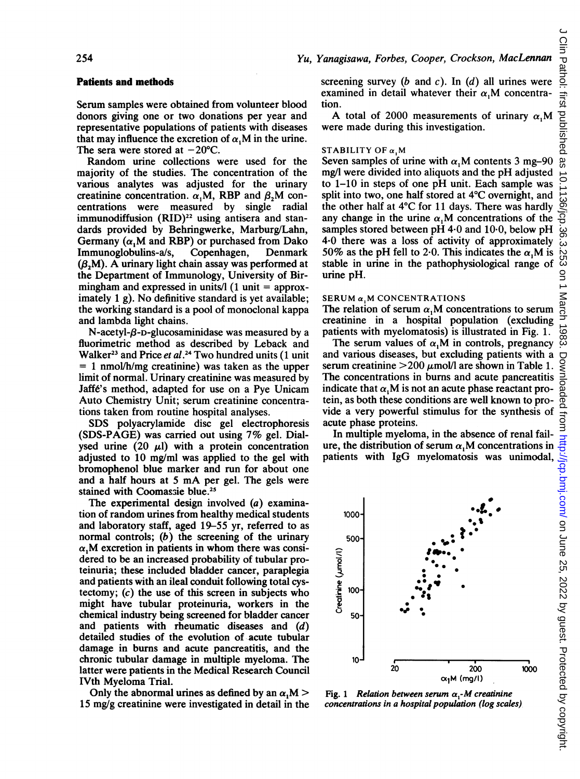# Patients and methods

Serum samples were obtained from volunteer blood donors giving one or two donations per year and representative populations of patients with diseases that may influence the excretion of  $\alpha_1$ M in the urine. The sera were stored at  $-20^{\circ}$ C.

Random urine collections were used for the majority of the studies. The concentration of the various analytes was adjusted for the urinary creatinine concentration.  $\alpha_1 M$ , RBP and  $\beta_2 M$  concentrations were measured by single radial immunodiffusion (RID)<sup>22</sup> using antisera and standards provided by Behringwerke, Marburg/Lahn, Germany  $(\alpha, M \text{ and } RBP)$  or purchased from Dako<br>Immunoglobulins-a/s, Copenhagen, Denmark Immunoglobulins-a/s,  $(β, M)$ . A urinary light chain assay was performed at the Department of Immunology, University of Birmingham and expressed in units/l  $(1 \text{ unit} = \text{approx-}$ imately <sup>1</sup> g). No definitive standard is yet available; the working standard is a pool of monoclonal kappa and lambda light chains.

 $N$ -acetyl- $\beta$ - $D$ -glucosaminidase was measured by a fluorimetric method as described by Leback and Walker<sup>23</sup> and Price et al.<sup>24</sup> Two hundred units (1 unit  $= 1$  nmol/h/mg creatinine) was taken as the upper limit of normal. Urinary creatinine was measured by Jaffé's method, adapted for use on a Pye Unicam Auto Chemistry Unit; serum creatinine concentrations taken from routine hospital analyses.

SDS polyacrylamide disc gel electrophoresis (SDS-PAGE) was carried out using 7% gel. Dialysed urine  $(20 \mu l)$  with a protein concentration adjusted to 10 mg/ml was applied to the gel with bromophenol blue marker and run for about one and <sup>a</sup> half hours at <sup>5</sup> mA per gel. The gels were stained with Coomassie blue.<sup>25</sup>

The experimental design involved (a) examination of random urines from healthy medical students and laboratory staff, aged 19-55 yr, referred to as normal controls;  $(b)$  the screening of the urinary  $\alpha$ . M excretion in patients in whom there was considered to be an increased probability of tubular proteinuria; these included bladder cancer, paraplegia and patients with an ileal conduit following total cystectomy; (c) the use of this screen in subjects who might have tubular proteinuria, workers in the chemical industry being screened for bladder cancer and patients with rheumatic diseases and (d) detailed studies of the evolution of acute tubular damage in burns and acute pancreatitis, and the chronic tubular damage in multiple myeloma. The latter were patients in the Medical Research Council IVth Myeloma Trial.

Only the abnormal urines as defined by an  $\alpha_1 M$  > 15 mg/g creatinine were investigated in detail in the

screening survey ( $b$  and  $c$ ). In ( $d$ ) all urines were examined in detail whatever their  $\alpha$ , M concentration.

A total of 2000 measurements of urinary  $\alpha$ , M were made during this investigation.

## STABILITY OF  $\alpha$ , M

Seven samples of urine with  $\alpha_1$ M contents 3 mg-90 mg/l were divided into aliquots and the pH adjusted to 1-10 in steps of one pH unit. Each sample was split into two, one half stored at 4°C ovemight, and the other half at 4°C for 11 days. There was hardly any change in the urine  $\alpha$ , M concentrations of the samples stored between pH 4-0 and 10-0, below pH 4 0 there was a loss of activity of approximately 50% as the pH fell to 2.0. This indicates the  $\alpha_1$ M is stable in urine in the pathophysiological range of urine pH.

#### SERUM  $\alpha$ , M CONCENTRATIONS

The relation of serum  $\alpha$ , M concentrations to serum creatinine in a hospital population (excluding patients with myelomatosis) is illustrated in Fig. 1.

The serum values of  $\alpha$ , M in controls, pregnancy and various diseases, but excluding patients with a serum creatinine  $>200 \mu$ mol/l are shown in Table 1. The concentrations in bums and acute pancreatitis indicate that  $\alpha_1 M$  is not an acute phase reactant protein, as both these conditions are well known to provide a very powerful stimulus for the synthesis of acute phase proteins.

In multiple myeloma, in the absence of renal failpatients with IgG myelomatosis was unimodal,

Fig. 1 Relation between serum  $\alpha$ -M creatinine concentrations in a hospital population (log scales)

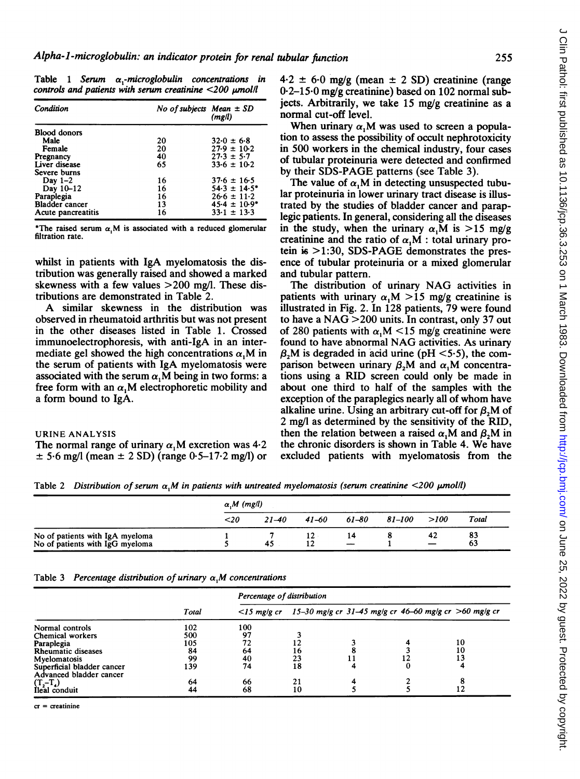Table 1 Serum  $\alpha$ -microglobulin concentrations in controls and patients with serum creatinine  $\langle 200 \rangle$  umol/l

| Condition             | No of subjects Mean $\pm$ SD | (mgl)             |  |  |
|-----------------------|------------------------------|-------------------|--|--|
| <b>Blood donors</b>   |                              |                   |  |  |
| Male                  | 20                           | $32.0 \pm 6.8$    |  |  |
| Female                | 20                           | $27.9 \pm 10.2$   |  |  |
| Pregnancy             | 40                           | $27.3 \pm 5.7$    |  |  |
| Liver disease         | 65                           | $33.6 \pm 10.2$   |  |  |
| Severe burns          |                              |                   |  |  |
| Day $1-2$             | 16                           | $37.6 \pm 16.5$   |  |  |
| Day 10-12             | 16                           | $54.3 \pm 14.5^*$ |  |  |
| Paraplegia            | 16                           | $26.6 \pm 11.2$   |  |  |
| <b>Bladder</b> cancer | 13                           | $45.4 \pm 10.9^*$ |  |  |
| Acute pancreatitis    | 16                           | $33.1 \pm 13.3$   |  |  |

\*The raised serum  $\alpha$ , M is associated with a reduced glomerular filtration rate.

whilst in patients with IgA myelomatosis the distribution was generally raised and showed a marked skewness with a few values >200 mg/l. These distributions are demonstrated in Table 2.

A similar skewness in the distribution was observed in rheumatoid arthritis but was not present in the other diseases listed in Table 1. Crossed immunoelectrophoresis, with anti-IgA in an intermediate gel showed the high concentrations  $\alpha_1$ M in the serum of patients with IgA myelomatosis were associated with the serum  $\alpha_1$ M being in two forms: a free form with an  $\alpha$ , M electrophoretic mobility and a form bound to IgA.

## URINE ANALYSIS

The normal range of urinary  $\alpha_1$ M excretion was 4.2  $\pm$  5.6 mg/l (mean  $\pm$  2 SD) (range 0.5–17.2 mg/l) or

 $4.2 \pm 6.0$  mg/g (mean  $\pm$  2 SD) creatinine (range  $0.2-15.0$  mg/g creatinine) based on 102 normal subjects. Arbitrarily, we take 15 mg/g creatinine as a normal cut-off level.

When urinary  $\alpha$ , M was used to screen a population to assess the possibility of occult nephrotoxicity in 500 workers in the chemical industry, four cases of tubular proteinuria were detected and confirmed by their SDS-PAGE patterns (see Table 3).

The value of  $\alpha_1$ M in detecting unsuspected tubular proteinuria in lower urinary tract disease is illustrated by the studies of bladder cancer and paraplegic patients. In general, considering all the diseases in the study, when the urinary  $\alpha$ , M is >15 mg/g creatinine and the ratio of  $\alpha_1 M$ : total urinary protein i6 >1:30, SDS-PAGE demonstrates the presence of tubular proteinuria or a mixed glomerular and tubular pattern.

The distribution of urinary NAG activities in patients with urinary  $\alpha_1M > 15$  mg/g creatinine is illustrated in Fig. 2. In 128 patients, 79 were found to have <sup>a</sup> NAG >200 units. In contrast, only <sup>37</sup> out of 280 patients with  $\alpha$ <sub>1</sub>M <15 mg/g creatinine were found to have abnormal NAG activities. As urinary  $\beta_2$ M is degraded in acid urine (pH <5.5), the comparison between urinary  $\beta_2 M$  and  $\alpha_1 M$  concentrations using a RID screen could only be made in about one third to half of the samples with the exception of the paraplegics nearly all of whom have alkaline urine. Using an arbitrary cut-off for  $\beta$ . M of 2 mg/l as determined by the sensitivity of the RID, then the relation between a raised  $\alpha$ , M and  $\beta$ , M in the chronic disorders is shown in Table 4. We have excluded patients with myelomatosis from the

Table 2 Distribution of serum  $\alpha$ , M in patients with untreated myelomatosis (serum creatinine <200  $\mu$ mol/l)

|                                                                    |     | $\alpha$ <sub>,</sub> <i>M</i> ( <i>mg</i> / <i>l</i> ) |          |                         |        |      |          |  |
|--------------------------------------------------------------------|-----|---------------------------------------------------------|----------|-------------------------|--------|------|----------|--|
|                                                                    | <20 | $21 - 40$                                               | 41–60    | 61–80                   | 81–100 | >100 | Total    |  |
| No of patients with IgA myeloma<br>No of patients with IgG myeloma |     | 45                                                      | 12<br>12 | 14<br>$\hspace{0.05cm}$ |        |      | 83<br>63 |  |

Table 3 Percentage distribution of urinary  $\alpha$ , M concentrations

|                                                       | Total | Percentage of distribution |    |  |  |                                                       |  |
|-------------------------------------------------------|-------|----------------------------|----|--|--|-------------------------------------------------------|--|
|                                                       |       | $<$ 15 mg/g cr             |    |  |  | 15-30 mg/g cr 31-45 mg/g cr 46-60 mg/g cr >60 mg/g cr |  |
| Normal controls                                       | 102   | 100                        |    |  |  |                                                       |  |
| Chemical workers                                      | 500   |                            |    |  |  |                                                       |  |
| Paraplegia                                            | 105   |                            |    |  |  | 10                                                    |  |
| <b>Rheumatic diseases</b>                             | 84    | 64                         | 16 |  |  | 10                                                    |  |
| Myelomatosis                                          | 99    | 40                         | 23 |  |  | 13                                                    |  |
| Superficial bladder cancer<br>Advanced bladder cancer | 139   | 74                         | 18 |  |  |                                                       |  |
|                                                       | 64    | 66                         |    |  |  |                                                       |  |
| $(T2-T4)$<br>Ileal conduit                            | 44    | 68                         | 10 |  |  |                                                       |  |

 $cr =$  creatinine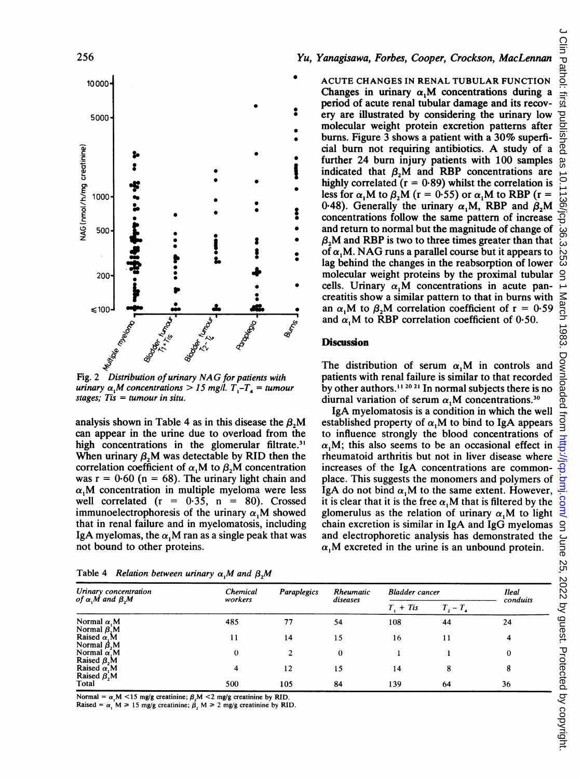

Fig. 2 Distribution of urinary NAG for patients with urinary  $\alpha_1 M$  concentrations > 15 mg/l.  $T_1 - T_4 =$  tumour stages;  $Tis =$  tumour in situ.

analysis shown in Table 4 as in this disease the  $\beta_{2}M$ can appear in the urine due to overload from the high concentrations in the glomerular filtrate. $31$ When urinary  $\beta_2$ M was detectable by RID then the correlation coefficient of  $\alpha$ , M to  $\beta$ , M concentration was  $r = 0.60$  (n = 68). The urinary light chain and  $\alpha_1$ M concentration in multiple myeloma were less well correlated  $(r = 0.35, n = 80)$ . Crossed immunoelectrophoresis of the urinary  $\alpha_1$ M showed that in renal failure and in myelomatosis, including IgA myelomas, the  $\alpha$ , M ran as a single peak that was not bound to other proteins.

Yu, Yanagisawa, Forbes, Cooper, Crockson, MacLennan

ACUTE CHANGES IN RENAL TUBULAR FUNCTION Changes in urinary  $\alpha$ , M concentrations during a period of acute renal tubular damage and its recovery are illustrated by considering the urinary low molecular weight protein excretion patterns after burns. Figure <sup>3</sup> shows <sup>a</sup> patient with <sup>a</sup> 30% superficial burn not requiring antibiotics. A study of <sup>a</sup> further 24 burn injury patients with 100 samples indicated that  $\beta_2$ M and RBP concentrations are highly correlated  $(r = 0.89)$  whilst the correlation is less for  $\alpha$ , M to  $\beta$ , M (r = 0.55) or  $\alpha$ , M to RBP (r = 0.48). Generally the urinary  $\alpha$ , M, RBP and  $\beta$ , M concentrations follow the same pattern of increase and return to normal but the magnitude of change of  $\beta_2$ M and RBP is two to three times greater than that of  $\alpha_1$ M. NAG runs a parallel course but it appears to lag behind the changes in the reabsorption of lower molecular weight proteins by the proximal tubular cells. Urinary  $\alpha$ ,M concentrations in acute pancreatitis show a similar pattern to that in burns with an  $\alpha_1$ M to  $\beta_2$ M correlation coefficient of r = 0.59 and  $\alpha$ , M to RBP correlation coefficient of 0.50.

# **Discussion**

The distribution of serum  $\alpha$ , M in controls and patients with renal failure is similar to that recorded by other authors.<sup>11 20</sup><sup>21</sup> In normal subjects there is no diurnal variation of serum  $\alpha_1$ M concentrations.<sup>30</sup>

IgA myelomatosis is a condition in which the well established property of  $\alpha$ , M to bind to IgA appears to influence strongly the blood concentrations of  $\alpha$ ,M; this also seems to be an occasional effect in rheumatoid arthritis but not in liver disease where increases of the IgA concentrations are commonplace. This suggests the monomers and polymers of IgA do not bind  $\alpha_1$ M to the same extent. However, it is clear that it is the free  $\alpha$ , M that is filtered by the glomerulus as the relation of urinary  $\alpha_1$ M to light chain excretion is similar in IgA and IgG myelomas and electrophoretic analysis has demonstrated the  $\alpha_1$ M excreted in the urine is an unbound protein.

| Urinary concentration<br>of $\alpha$ , M and $\beta$ , M | Chemical<br>workers | Paraplegics | Rheumatic<br>diseases | <b>Bladder</b> cancer |         | <b>Ileal</b> |
|----------------------------------------------------------|---------------------|-------------|-----------------------|-----------------------|---------|--------------|
|                                                          |                     |             |                       | $T_{.} + T$ is        | $T - T$ | conduits     |
| Normal $\alpha$ , M<br>Normal $\beta$ , M                | 485                 | 77          | 54                    | 108                   | 44      | 24           |
| Raised $\alpha$ , M<br>Normal $\beta$ , M                | 11                  | 14          | 15                    | 16                    | 11      | 4            |
| Normal $\alpha$ <sub>N</sub><br>Raised $\beta$ , M       | 0                   | 2           | $\bf{0}$              |                       |         | $\bf{0}$     |
| Raised $\alpha_1^2 M$<br>Raised $\beta_2 M$<br>Total     | 4                   | 12          | 15                    | 14                    | 8       | 8            |
|                                                          | 500                 | 105         | 84                    | 139                   | 64      | 36           |

Table 4 Relation between urinary  $\alpha$ , M and  $\beta$ , M

Normal =  $\alpha$ <sub>,</sub>M <15 mg/g creatinine;  $\beta$ ,M <2 mg/g creatinine by RID.

Raised =  $\alpha_1$  M  $\geq$  15 mg/g creatinine;  $\beta_2$  M  $\geq$  2 mg/g creatinine by RID.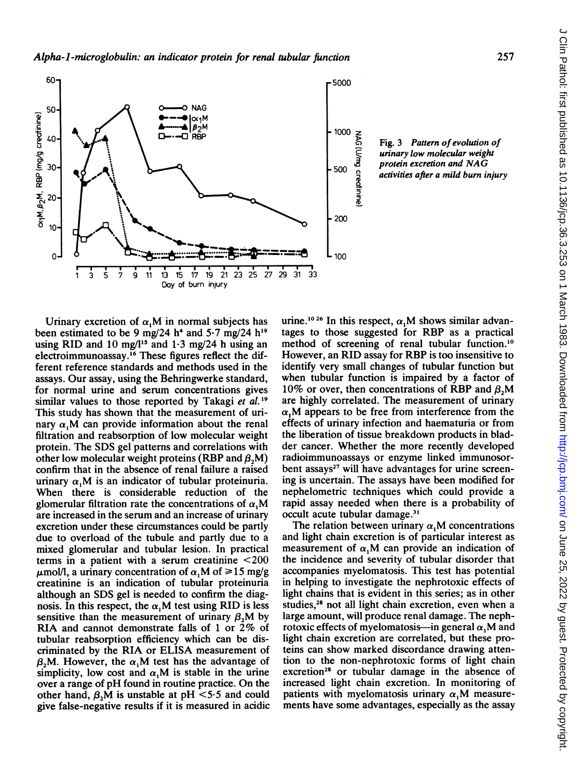

Urinary excretion of  $\alpha$ . M in normal subjects has been estimated to be 9 mg/24  $h^4$  and 5.7 mg/24  $h^{19}$ using RID and 10 mg/l<sup>15</sup> and 1.3 mg/24 h using an electroimmunoassay.'6 These figures reflect the different reference standards and methods used in the assays. Our assay, using the Behringwerke standard, for normal urine and serum concentrations gives similar values to those reported by Takagi et  $al$ .<sup>19</sup> This study has shown that the measurement of urinary  $\alpha$ , M can provide information about the renal filtration and reabsorption of low molecular weight protein. The SDS gel patterns and correlations with other low molecular weight proteins (RBP and  $\beta_2$ M) confirm that in the absence of renal failure a raised urinary  $\alpha$ , M is an indicator of tubular proteinuria. When there is considerable reduction of the glomerular filtration rate the concentrations of  $\alpha_1M$ are increased in the serum and an increase of urinary excretion under these circumstances could be partly due to overload of the tubule and partly due to a mixed glomerular and tubular lesion. In practical terms in a patient with a serum creatinine <200  $\mu$ mol/l, a urinary concentration of  $\alpha$ ,M of  $\geq 15$  mg/g creatinine is an indication of tubular proteinuria although an SDS gel is needed to confirm the diagnosis. In this respect, the  $\alpha$ , M test using RID is less sensitive than the measurement of urinary  $\beta_2$ . M by RIA and cannot demonstrate falls of <sup>1</sup> or 2% of tubular reabsorption efficiency which can be discriminated by the RIA or ELISA measurement of  $\beta_2$ M. However, the  $\alpha_1$ M test has the advantage of simplicity, low cost and  $\alpha$ , M is stable in the urine over <sup>a</sup> range of pH found in routine practice. On the other hand,  $\beta_2M$  is unstable at pH <5.5 and could give false-negative results if it is measured in acidic urine.<sup>1026</sup> In this respect,  $\alpha$ , M shows similar advantages to those suggested for RBP as <sup>a</sup> practical method of screening of renal tubular function.'0 However, an RID assay for RBP is too insensitive to identify very small changes of tubular function but when tubular function is impaired by a factor of 10% or over, then concentrations of RBP and  $\beta$ <sub>2</sub>M are highly correlated. The measurement of urinary  $\alpha$ . M appears to be free from interference from the effects of urinary infection and haematuria or from the liberation of tissue breakdown products in bladder cancer. Whether the more recently developed radioimmunoassays or enzyme linked immunosorbent assays<sup>27</sup> will have advantages for urine screening is uncertain. The assays have been modified for nephelometric techniques which could provide a rapid assay needed when there is a probability of occult acute tubular damage.3'

The relation between urinary  $\alpha$ , M concentrations and light chain excretion is of particular interest as measurement of  $\alpha$ , M can provide an indication of the incidence and severity of tubular disorder that accompanies myelomatosis. This test has potential in helping to investigate the nephrotoxic effects of light chains that is evident in this series; as in other studies,<sup>28</sup> not all light chain excretion, even when a large amount, will produce renal damage. The nephrotoxic effects of myelomatosis-in general  $\alpha_1$ M and light chain excretion are correlated, but these proteins can show marked discordance drawing attention to the non-nephrotoxic forms of light chain excretion<sup>28</sup> or tubular damage in the absence of increased light chain excretion. In monitoring of patients with myelomatosis urinary  $\alpha$ , M measurements have some advantages, especially as the assay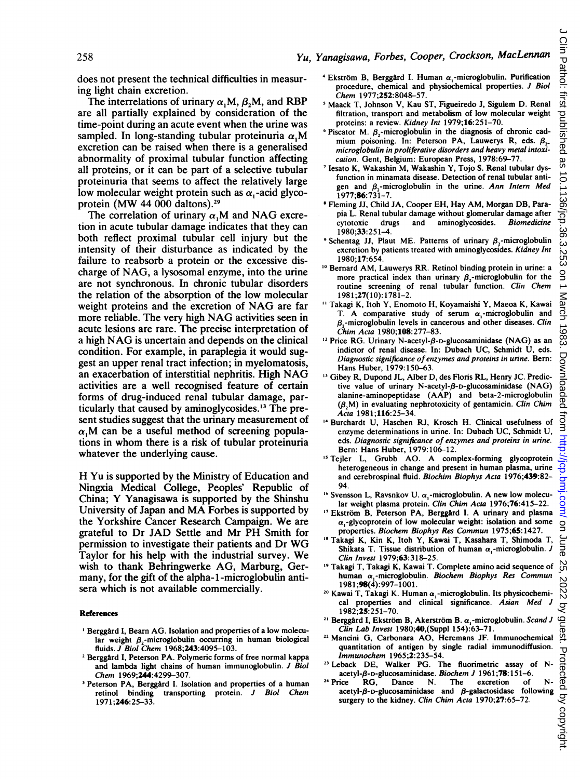does not present the technical difficulties in measuring light chain excretion.

The interrelations of urinary  $\alpha_1 M$ ,  $\beta_2 M$ , and RBP are all partially explained by consideration of the time-point during an acute event when the urine was sampled. In long-standing tubular proteinuria  $\alpha_1M$ excretion can be raised when there is a generalised abnormality of proximal tubular function affecting all proteins, or it can be part of a selective tubular proteinuria that seems to affect the relatively large low molecular weight protein such as  $\alpha$ -acid glycoprotein (MW 44 000 daltons).<sup>29</sup>

The correlation of urinary  $\alpha$ , M and NAG excretion in acute tubular damage indicates that they can both reflect proximal tubular cell injury but the intensity of their disturbance as indicated by the failure to reabsorb a protein or the excessive discharge of NAG, <sup>a</sup> lysosomal enzyme, into the urine are not synchronous. In chronic tubular disorders the relation of the absorption of the low molecular weight proteins and the excretion of NAG are far more reliable. The very high NAG activities seen in acute lesions are rare. The precise interpretation of <sup>a</sup> high NAG is uncertain and depends on the clinical condition. For example, in paraplegia it would suggest an upper renal tract infection; in myelomatosis, an exacerbation of interstitial nephritis. High NAG activities are a well recognised feature of certain forms of drug-induced renal tubular damage, particularly that caused by aminoglycosides.'3 The present studies suggest that the urinary measurement of  $\alpha$ . M can be a useful method of screening populations in whom there is <sup>a</sup> risk of tubular proteinuria whatever the underlying cause.

H Yu is supported by the Ministry of Education and Ningxia Medical College, Peoples' Republic of China; Y Yanagisawa is supported by the Shinshu University of Japan and MA Forbes is supported by the Yorkshire Cancer Research Campaign. We are grateful to Dr JAD Settle and Mr PH Smith for permission to investigate their patients and Dr WG Taylor for his help with the industrial survey. We wish to thank Behringwerke AG, Marburg, Germany, for the gift of the alpha-1-microglobulin antisera which is not available commercially.

#### References

- <sup>1</sup> Berggård I, Bearn AG. Isolation and properties of a low molecular weight  $\beta_2$ -microglobulin occurring in human biological fluids. J Biol Chem 1968;243:4095-103.
- <sup>2</sup> Berggard I, Peterson PA. Polymeric forms of free normal kappa and lambda light chains of human immunoglobulin. J Biol Chem 1969;244:4299-307.
- <sup>3</sup> Peterson PA, Berggard I. Isolation and properties of a human<br>retinol binding transporting protein *J* Biol Chem retinol binding transporting protein. J Biol 1971;246:25-33.
- $4$  Ekström B, Berggård I. Human  $\alpha$ ,-microglobulin. Purification procedure, chemical and physiochemical properties. J Biol Chem 1977;252:8048-57.
- 5Maack T, Johnson V, Kau ST, Figueiredo J, Sigulem D. Renal filtration, transport and metabolism of low molecular weight proteins: a review. Kidney Int 1979;16:251-70.
- $6$  Piscator M.  $\beta$ <sub>2</sub>-microglobulin in the diagnosis of chronic cadmium poisoning. In: Peterson PA, Lauwerys R, eds.  $\beta$ . microglobulin in proliferative disorders and heavy metal intoxication. Gent, Belgium: European Press, 1978:69-77.
- <sup>7</sup> Iesato K, Wakashin M, Wakashin Y, Tojo S. Renal tubular dysfunction in minamata disease. Detection of renal tubular antigen and  $\beta$ <sub>2</sub>-microglobulin in the urine. Ann Intern Med 1977;86:731-7.
- <sup>8</sup> Fleming JJ, Child JA, Cooper EH, Hay AM, Morgan DB, Parapia L. Renal tubular damage without glomerular damage after cytotoxic drugs and aminogly cosides. Biomedicine aminoglycosides. 1980;33:251-4.
- $9$  Schentag JJ, Plaut ME. Patterns of urinary  $\beta$ <sub>2</sub>-microglobulin excretion by patients treated with aminoglycosides. Kidney Int 1980;17:654.
- <sup>10</sup> Bernard AM, Lauwerys RR. Retinol binding protein in urine: <sup>a</sup> more practical index than urinary  $\beta_2$ -microglobulin for the routine screening of renal tubular function. Clin Chem 1981;27(10):1781-2.
- "Takagi K, Itoh Y, Enomoto H, Koyamaishi Y, Maeoa K, Kawai T. A comparative study of serum  $\alpha$ ,-microglobulin and  $\beta$ -microglobulin levels in cancerous and other diseases. Clin Chim Acta 1980;108:277-83.
- <sup>12</sup> Price RG. Urinary N-acetyl- $\beta$ -D-glucosaminidase (NAG) as an indictor of renal disease. In: Dubach UC, Schmidt U, eds. Diagnostic significance of enzymes and proteins in urine. Bern: Hans Huber, 1979:150-63.
- <sup>13</sup> Gibey R, Dupond JL, Alber D, des Floris RL, Henry JC. Predictive value of urinary N-acetyl- $\beta$ -D-glucosaminidase (NAG) alanine-aminopeptidase (AAP) and beta-2-microglobulin  $(\beta, M)$  in evaluating nephrotoxicity of gentamicin. Clin Chim Acta 1981;116:25-34.
- <sup>14</sup> Burchardt U, Haschen RJ, Krosch H. Clinical usefulness of enzyme determinations in urine. In: Dubach UC, Schmidt U, eds. Diagnostic significance of enzymes and proteins in urine. Bern: Hans Huber, 1979:106-12.
- <sup>15</sup> Tejler L, Grubb AO. A complex-forming glycoprotein heterogeneous in change and present in human plasma, urine and cerebrospinal fluid. Biochim Biophys Acta 1976;439:82- 94.
- <sup>16</sup> Svensson L, Ravsnkov U.  $\alpha_1$ -microglobulin. A new low molecular weight plasma protein. Clin Chim Acta 1976;76:415-22.
- <sup>17</sup> Ekström B, Peterson PA, Berggård I. A urinary and plasma  $\alpha$ ,-glycoprotein of low molecular weight: isolation and some properties. Biochem Biophys Res Commun 1975;65: 1427.
- <sup>18</sup> Takagi K, Kin K, Itoh Y, Kawai T, Kasahara T, Shimoda T, Shikata T. Tissue distribution of human  $\alpha$ ,-microglobulin. J Clin Invest 1979;63:318-25.
- <sup>9</sup> Takagi T, Takagi K, Kawai T. Complete amino acid sequence of human  $\alpha$ -microglobulin. Biochem Biophys Res Commun 1981 ;98(4):997-1001.
- <sup>20</sup> Kawai T, Takagi K. Human  $\alpha$  -microglobulin. Its physicochemical properties and clinical significance. Asian Med J 1982;25:251-70.
- <sup>21</sup> Berggård I, Ekström B, Akerström B.  $\alpha$ , -microglobulin. Scand J Clin Lab Invest 1980;40,(Suppl 154):63-71.
- <sup>22</sup> Mancini G, Carbonara AO, Heremans JF. Immunochemical quantitation of antigen by single radial immunodiffusion. Immunochem 1965;2:235-54.
- <sup>23</sup> Leback DE, Walker PG. The fluorimetric assay of Nacetyl-*B*-D-glucosaminidase. Biochem J 1961;78:151-6.<br><sup>24</sup> Price RG, Dance N. The excretion of
- <sup>24</sup> Price RG, Dance N. The excretion of N-<br>acetyl- $\beta$ -D-glucosaminidase and  $\beta$ -galactosidase following surgery to the kidney. Clin Chim Acta 1970;27:65-72.